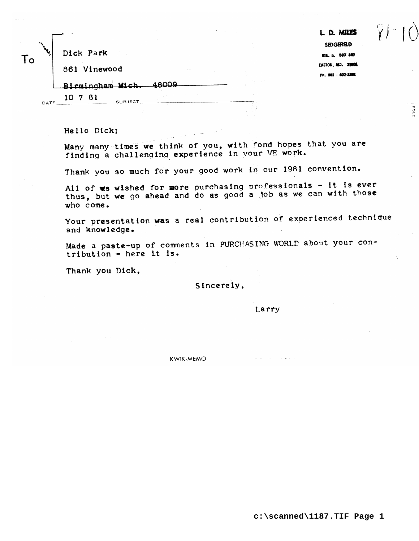| Ω | Dick Park |  |
|---|-----------|--|

L D. MILES SEDGEFIELD RTE. 5, BOX 840 EASTON, MD. 20006 Ph. 301 - 822-3222

EOLD

861 Vinewood

Birmingham Mich.

**SUBJECT** 

10 7 81

DATE

Hello Dick;

Many many times we think of you, with fond hopes that you are finding a challenging experience in your VE work.

48009

Thank you so much for your good work in our 1981 convention.

All of ws wished for more purchasing professionals - it is ever thus, but we go ahead and do as good a job as we can with those who come.

Your presentation was a real contribution of experienced technique and knowledge.

Made a paste-up of comments in PURCHASING WORLD about your contribution - here it is.

Thank you Dick,

Sincerely,

Larry

**KWIK-MEMO**